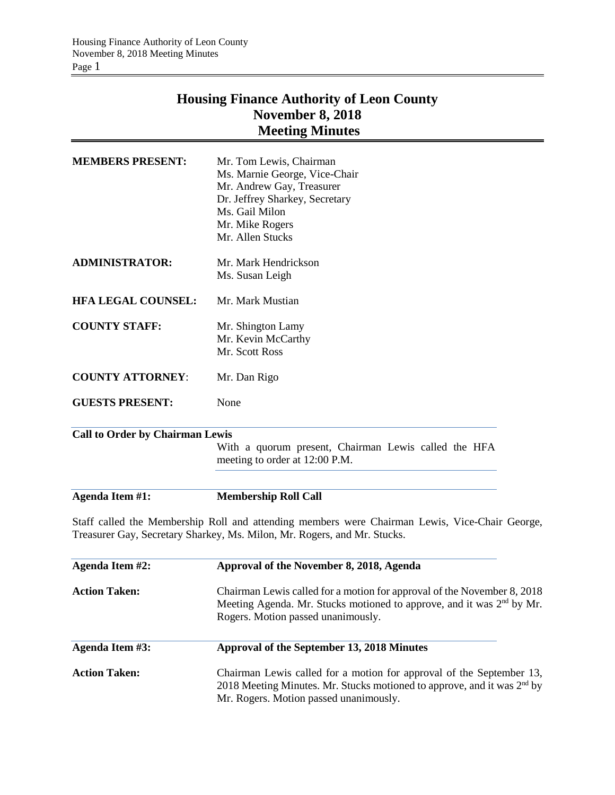## **Housing Finance Authority of Leon County November 8, 2018 Meeting Minutes**

| <b>MEMBERS PRESENT:</b>                | Mr. Tom Lewis, Chairman<br>Ms. Marnie George, Vice-Chair<br>Mr. Andrew Gay, Treasurer<br>Dr. Jeffrey Sharkey, Secretary<br>Ms. Gail Milon<br>Mr. Mike Rogers<br>Mr. Allen Stucks                   |  |
|----------------------------------------|----------------------------------------------------------------------------------------------------------------------------------------------------------------------------------------------------|--|
| <b>ADMINISTRATOR:</b>                  | Mr. Mark Hendrickson                                                                                                                                                                               |  |
|                                        | Ms. Susan Leigh                                                                                                                                                                                    |  |
| <b>HFA LEGAL COUNSEL:</b>              | Mr. Mark Mustian                                                                                                                                                                                   |  |
| <b>COUNTY STAFF:</b>                   | Mr. Shington Lamy                                                                                                                                                                                  |  |
|                                        | Mr. Kevin McCarthy<br>Mr. Scott Ross                                                                                                                                                               |  |
|                                        |                                                                                                                                                                                                    |  |
| <b>COUNTY ATTORNEY:</b>                | Mr. Dan Rigo                                                                                                                                                                                       |  |
| <b>GUESTS PRESENT:</b>                 | None                                                                                                                                                                                               |  |
| <b>Call to Order by Chairman Lewis</b> |                                                                                                                                                                                                    |  |
|                                        | With a quorum present, Chairman Lewis called the HFA<br>meeting to order at 12:00 P.M.                                                                                                             |  |
| Agenda Item #1:                        | <b>Membership Roll Call</b>                                                                                                                                                                        |  |
|                                        | Staff called the Membership Roll and attending members were Chairman Lewis, Vice-Chair George,<br>Treasurer Gay, Secretary Sharkey, Ms. Milon, Mr. Rogers, and Mr. Stucks.                         |  |
| Agenda Item #2:                        | Approval of the November 8, 2018, Agenda                                                                                                                                                           |  |
| <b>Action Taken:</b>                   | Chairman Lewis called for a motion for approval of the November 8, 2018<br>Meeting Agenda. Mr. Stucks motioned to approve, and it was 2 <sup>nd</sup> by Mr.<br>Rogers. Motion passed unanimously. |  |
| Agenda Item #3:                        | Approval of the September 13, 2018 Minutes                                                                                                                                                         |  |
| <b>Action Taken:</b>                   | Chairman Lewis called for a motion for approval of the September 13,                                                                                                                               |  |

Mr. Rogers. Motion passed unanimously.

2018 Meeting Minutes. Mr. Stucks motioned to approve, and it was 2<sup>nd</sup> by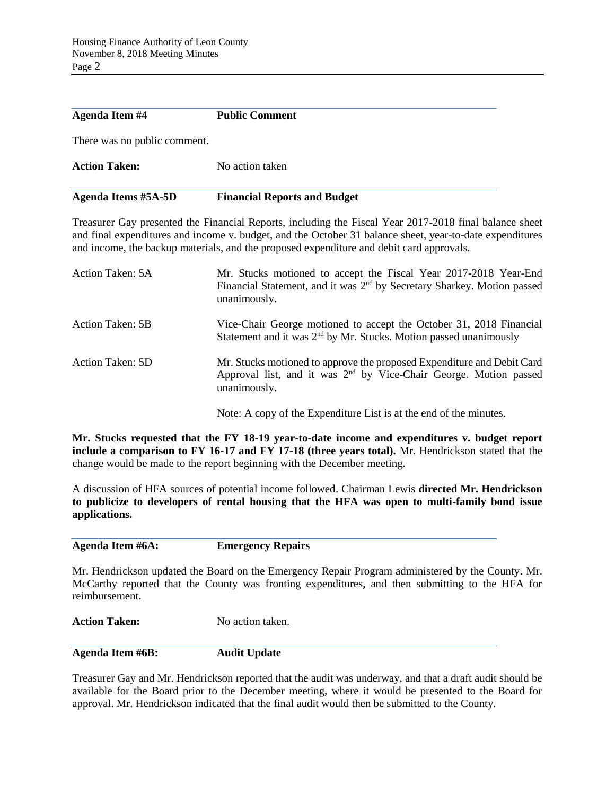| <b>Agenda Item #4</b>        | <b>Public Comment</b>               |
|------------------------------|-------------------------------------|
| There was no public comment. |                                     |
| <b>Action Taken:</b>         | No action taken                     |
| <b>Agenda Items #5A-5D</b>   | <b>Financial Reports and Budget</b> |

Treasurer Gay presented the Financial Reports, including the Fiscal Year 2017-2018 final balance sheet and final expenditures and income v. budget, and the October 31 balance sheet, year-to-date expenditures and income, the backup materials, and the proposed expenditure and debit card approvals.

| Action Taken: 5A | Mr. Stucks motioned to accept the Fiscal Year 2017-2018 Year-End<br>Financial Statement, and it was 2 <sup>nd</sup> by Secretary Sharkey. Motion passed<br>unanimously. |
|------------------|-------------------------------------------------------------------------------------------------------------------------------------------------------------------------|
| Action Taken: 5B | Vice-Chair George motioned to accept the October 31, 2018 Financial<br>Statement and it was 2 <sup>nd</sup> by Mr. Stucks. Motion passed unanimously                    |
| Action Taken: 5D | Mr. Stucks motioned to approve the proposed Expenditure and Debit Card<br>Approval list, and it was 2 <sup>nd</sup> by Vice-Chair George. Motion passed<br>unanimously. |
|                  | Note: A copy of the Expenditure List is at the end of the minutes.                                                                                                      |

**Mr. Stucks requested that the FY 18-19 year-to-date income and expenditures v. budget report include a comparison to FY 16-17 and FY 17-18 (three years total).** Mr. Hendrickson stated that the change would be made to the report beginning with the December meeting.

A discussion of HFA sources of potential income followed. Chairman Lewis **directed Mr. Hendrickson to publicize to developers of rental housing that the HFA was open to multi-family bond issue applications.**

**Agenda Item #6A: Emergency Repairs**

Mr. Hendrickson updated the Board on the Emergency Repair Program administered by the County. Mr. McCarthy reported that the County was fronting expenditures, and then submitting to the HFA for reimbursement.

Action Taken: No action taken.

**Agenda Item #6B: Audit Update**

Treasurer Gay and Mr. Hendrickson reported that the audit was underway, and that a draft audit should be available for the Board prior to the December meeting, where it would be presented to the Board for approval. Mr. Hendrickson indicated that the final audit would then be submitted to the County.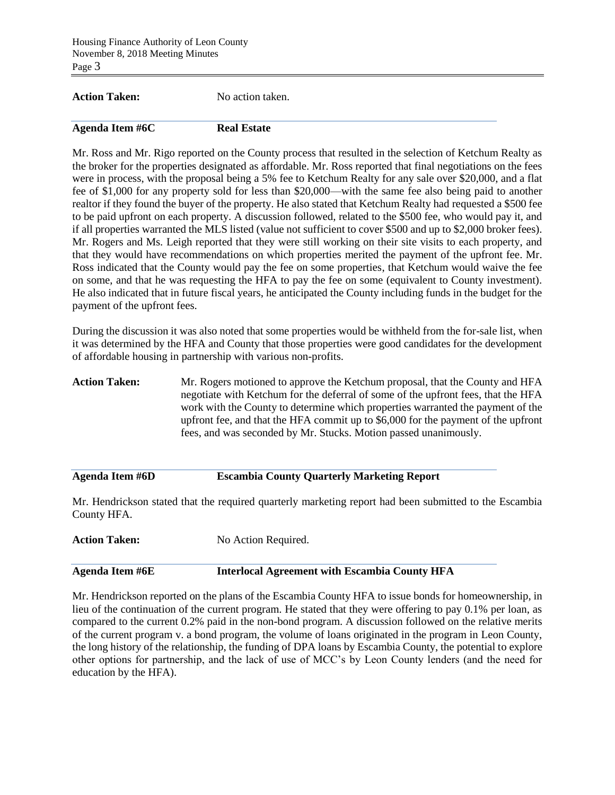**Action Taken:** No action taken.

## **Agenda Item #6C Real Estate**

Mr. Ross and Mr. Rigo reported on the County process that resulted in the selection of Ketchum Realty as the broker for the properties designated as affordable. Mr. Ross reported that final negotiations on the fees were in process, with the proposal being a 5% fee to Ketchum Realty for any sale over \$20,000, and a flat fee of \$1,000 for any property sold for less than \$20,000—with the same fee also being paid to another realtor if they found the buyer of the property. He also stated that Ketchum Realty had requested a \$500 fee to be paid upfront on each property. A discussion followed, related to the \$500 fee, who would pay it, and if all properties warranted the MLS listed (value not sufficient to cover \$500 and up to \$2,000 broker fees). Mr. Rogers and Ms. Leigh reported that they were still working on their site visits to each property, and that they would have recommendations on which properties merited the payment of the upfront fee. Mr. Ross indicated that the County would pay the fee on some properties, that Ketchum would waive the fee on some, and that he was requesting the HFA to pay the fee on some (equivalent to County investment). He also indicated that in future fiscal years, he anticipated the County including funds in the budget for the payment of the upfront fees.

During the discussion it was also noted that some properties would be withheld from the for-sale list, when it was determined by the HFA and County that those properties were good candidates for the development of affordable housing in partnership with various non-profits.

**Action Taken:** Mr. Rogers motioned to approve the Ketchum proposal, that the County and HFA negotiate with Ketchum for the deferral of some of the upfront fees, that the HFA work with the County to determine which properties warranted the payment of the upfront fee, and that the HFA commit up to \$6,000 for the payment of the upfront fees, and was seconded by Mr. Stucks. Motion passed unanimously.

## **Agenda Item #6D Escambia County Quarterly Marketing Report**

Mr. Hendrickson stated that the required quarterly marketing report had been submitted to the Escambia County HFA.

| <b>Action Taken:</b> | No Action Required. |
|----------------------|---------------------|
|                      |                     |

| <b>Agenda Item #6E</b> | Interlocal Agreement with Escambia County HFA |  |
|------------------------|-----------------------------------------------|--|
|                        |                                               |  |

Mr. Hendrickson reported on the plans of the Escambia County HFA to issue bonds for homeownership, in lieu of the continuation of the current program. He stated that they were offering to pay 0.1% per loan, as compared to the current 0.2% paid in the non-bond program. A discussion followed on the relative merits of the current program v. a bond program, the volume of loans originated in the program in Leon County, the long history of the relationship, the funding of DPA loans by Escambia County, the potential to explore other options for partnership, and the lack of use of MCC's by Leon County lenders (and the need for education by the HFA).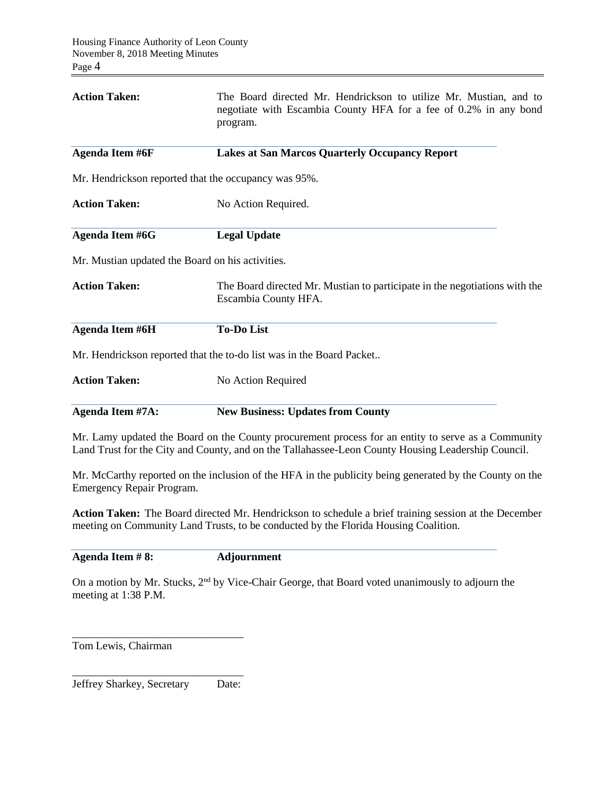| <b>Action Taken:</b>                                                     | The Board directed Mr. Hendrickson to utilize Mr. Mustian, and to<br>negotiate with Escambia County HFA for a fee of 0.2% in any bond<br>program.                                                        |  |  |  |
|--------------------------------------------------------------------------|----------------------------------------------------------------------------------------------------------------------------------------------------------------------------------------------------------|--|--|--|
| Agenda Item #6F<br><b>Lakes at San Marcos Quarterly Occupancy Report</b> |                                                                                                                                                                                                          |  |  |  |
|                                                                          | Mr. Hendrickson reported that the occupancy was 95%.                                                                                                                                                     |  |  |  |
| <b>Action Taken:</b>                                                     | No Action Required.                                                                                                                                                                                      |  |  |  |
| Agenda Item #6G                                                          | <b>Legal Update</b>                                                                                                                                                                                      |  |  |  |
| Mr. Mustian updated the Board on his activities.                         |                                                                                                                                                                                                          |  |  |  |
| <b>Action Taken:</b>                                                     | The Board directed Mr. Mustian to participate in the negotiations with the<br>Escambia County HFA.                                                                                                       |  |  |  |
| Agenda Item #6H                                                          | <b>To-Do List</b>                                                                                                                                                                                        |  |  |  |
|                                                                          | Mr. Hendrickson reported that the to-do list was in the Board Packet                                                                                                                                     |  |  |  |
| <b>Action Taken:</b>                                                     | No Action Required                                                                                                                                                                                       |  |  |  |
| Agenda Item #7A:                                                         | <b>New Business: Updates from County</b>                                                                                                                                                                 |  |  |  |
|                                                                          | Mr. Lamy updated the Board on the County procurement process for an entity to serve as a Community<br>Land Trust for the City and County, and on the Tallahassee-Leon County Housing Leadership Council. |  |  |  |

Mr. McCarthy reported on the inclusion of the HFA in the publicity being generated by the County on the Emergency Repair Program.

**Action Taken:** The Board directed Mr. Hendrickson to schedule a brief training session at the December meeting on Community Land Trusts, to be conducted by the Florida Housing Coalition.

**Agenda Item # 8: Adjournment**

On a motion by Mr. Stucks, 2<sup>nd</sup> by Vice-Chair George, that Board voted unanimously to adjourn the meeting at 1:38 P.M.

Tom Lewis, Chairman

\_\_\_\_\_\_\_\_\_\_\_\_\_\_\_\_\_\_\_\_\_\_\_\_\_\_\_\_\_\_\_ Jeffrey Sharkey, Secretary Date:

\_\_\_\_\_\_\_\_\_\_\_\_\_\_\_\_\_\_\_\_\_\_\_\_\_\_\_\_\_\_\_